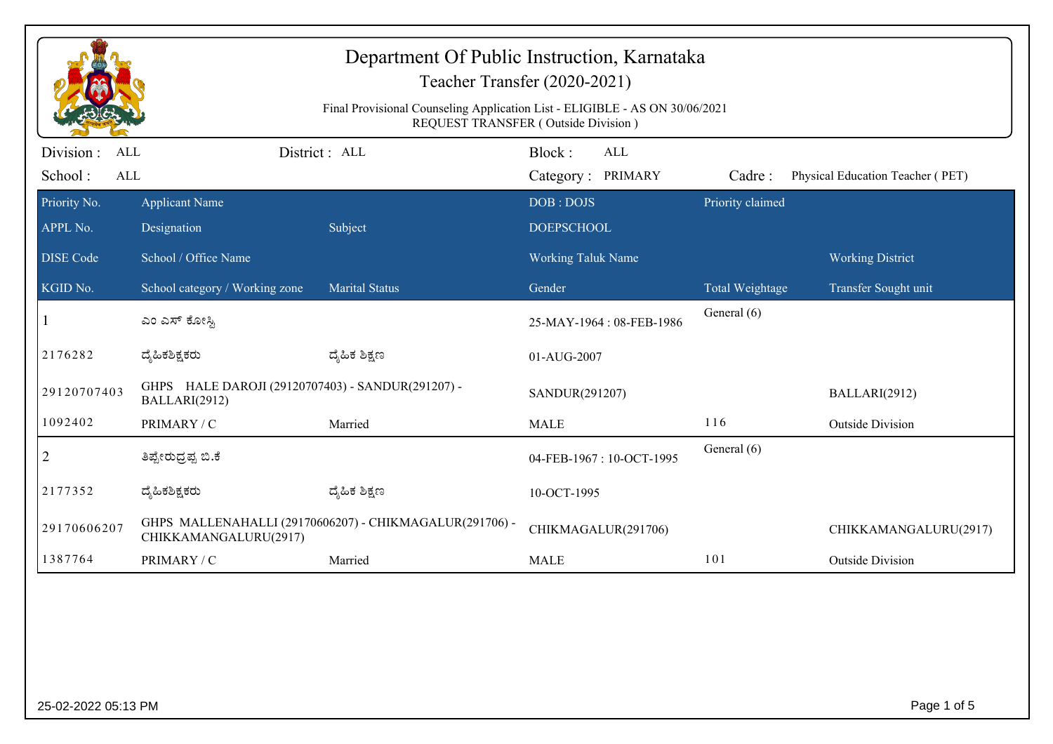| Department Of Public Instruction, Karnataka<br>Teacher Transfer (2020-2021)<br>Final Provisional Counseling Application List - ELIGIBLE - AS ON 30/06/2021<br><b>REQUEST TRANSFER (Outside Division)</b> |                                                                    |                                                         |                                           |                  |                                  |  |
|----------------------------------------------------------------------------------------------------------------------------------------------------------------------------------------------------------|--------------------------------------------------------------------|---------------------------------------------------------|-------------------------------------------|------------------|----------------------------------|--|
| Division:<br><b>ALL</b><br>School:<br><b>ALL</b>                                                                                                                                                         |                                                                    | District: ALL                                           | Block:<br><b>ALL</b><br>Category: PRIMARY | Cadre:           | Physical Education Teacher (PET) |  |
| Priority No.<br>APPL No.                                                                                                                                                                                 | <b>Applicant Name</b><br>Designation                               | Subject                                                 | DOB: DOJS<br><b>DOEPSCHOOL</b>            | Priority claimed |                                  |  |
| <b>DISE Code</b>                                                                                                                                                                                         | School / Office Name                                               |                                                         | <b>Working Taluk Name</b>                 |                  | <b>Working District</b>          |  |
| KGID No.                                                                                                                                                                                                 | School category / Working zone                                     | <b>Marital Status</b>                                   | Gender                                    | Total Weightage  | Transfer Sought unit             |  |
|                                                                                                                                                                                                          | ಎಂ ಎಸ್ ಕೋಸ್ಟಿ                                                      |                                                         | 25-MAY-1964: 08-FEB-1986                  | General (6)      |                                  |  |
| 2176282                                                                                                                                                                                                  | ದ್ಯೆಹಿಕಶಿಕ್ಷಕರು                                                    | ದ್ಮಹಿಕ ಶಿಕ್ಷಣ                                           | 01-AUG-2007                               |                  |                                  |  |
| 29120707403                                                                                                                                                                                              | GHPS HALE DAROJI (29120707403) - SANDUR(291207) -<br>BALLARI(2912) |                                                         | SANDUR(291207)                            |                  | BALLARI(2912)                    |  |
| 1092402                                                                                                                                                                                                  | PRIMARY / C                                                        | Married                                                 | <b>MALE</b>                               | 116              | <b>Outside Division</b>          |  |
| 2                                                                                                                                                                                                        | ತಿಪ್ಪೇರುದ್ರಪ್ಪ ಬಿ.ಕೆ                                               |                                                         | 04-FEB-1967: 10-OCT-1995                  | General (6)      |                                  |  |
| 2177352                                                                                                                                                                                                  | ದ್ಯೆಹಿಕಶಿಕ್ಷಕರು                                                    | ದ್ಮಹಿಕ ಶಿಕ್ಷಣ                                           | 10-OCT-1995                               |                  |                                  |  |
| 29170606207                                                                                                                                                                                              | CHIKKAMANGALURU(2917)                                              | GHPS MALLENAHALLI (29170606207) - CHIKMAGALUR(291706) - | CHIKMAGALUR(291706)                       |                  | CHIKKAMANGALURU(2917)            |  |
| 1387764                                                                                                                                                                                                  | PRIMARY / C                                                        | Married                                                 | <b>MALE</b>                               | 101              | <b>Outside Division</b>          |  |
|                                                                                                                                                                                                          |                                                                    |                                                         |                                           |                  |                                  |  |
| 25-02-2022 05:13 PM                                                                                                                                                                                      |                                                                    |                                                         |                                           |                  | Page 1 of 5                      |  |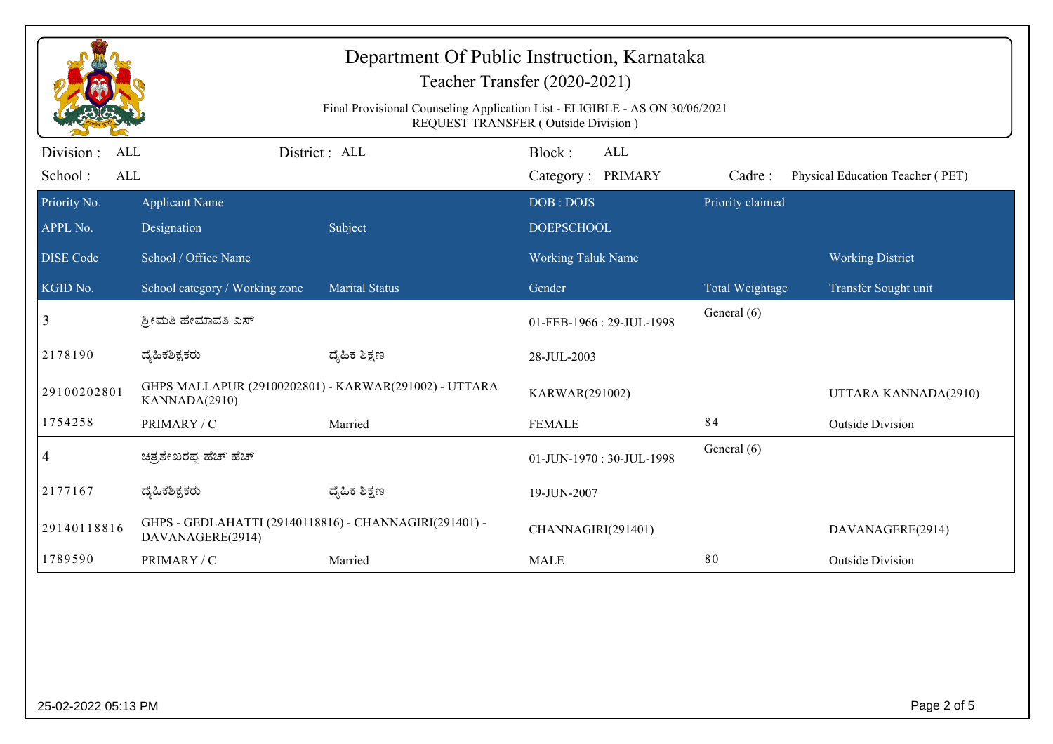|                                            |                                                                            | Department Of Public Instruction, Karnataka<br>Final Provisional Counseling Application List - ELIGIBLE - AS ON 30/06/2021 | Teacher Transfer (2020-2021)<br>REQUEST TRANSFER (Outside Division) |                  |                                  |
|--------------------------------------------|----------------------------------------------------------------------------|----------------------------------------------------------------------------------------------------------------------------|---------------------------------------------------------------------|------------------|----------------------------------|
| Division :<br>ALL<br>School:<br><b>ALL</b> |                                                                            | District: ALL                                                                                                              | Block:<br><b>ALL</b><br>Category: PRIMARY                           | Cadre:           | Physical Education Teacher (PET) |
| Priority No.<br>APPL No.                   | <b>Applicant Name</b><br>Designation                                       | Subject                                                                                                                    | DOB: DOJS<br><b>DOEPSCHOOL</b>                                      | Priority claimed |                                  |
| <b>DISE</b> Code                           | School / Office Name                                                       |                                                                                                                            | <b>Working Taluk Name</b>                                           |                  | <b>Working District</b>          |
| KGID No.                                   | School category / Working zone                                             | <b>Marital Status</b>                                                                                                      | Gender                                                              | Total Weightage  | Transfer Sought unit             |
| 3                                          | ಶ್ರೀಮತಿ ಹೇಮಾವತಿ ಎಸ್                                                        |                                                                                                                            | 01-FEB-1966: 29-JUL-1998                                            | General (6)      |                                  |
| 2178190                                    | ದ್ಯಹಿಕಶಿಕ್ಷಕರು                                                             | ದ್ಯೆಹಿಕ ಶಿಕ್ಷಣ                                                                                                             | 28-JUL-2003                                                         |                  |                                  |
| 29100202801                                | GHPS MALLAPUR (29100202801) - KARWAR(291002) - UTTARA<br>KANNADA(2910)     |                                                                                                                            | KARWAR(291002)                                                      |                  | UTTARA KANNADA(2910)             |
| 1754258                                    | PRIMARY / C                                                                | Married                                                                                                                    | <b>FEMALE</b>                                                       | 84               | <b>Outside Division</b>          |
| 4                                          | ಚಿತ್ರಶೇಖರಪ್ಪ ಹೆಚ್ ಹೆಚ್                                                     |                                                                                                                            | 01-JUN-1970: 30-JUL-1998                                            | General (6)      |                                  |
| 2177167                                    | ದ್ಯಹಿಕಶಿಕ್ಷಕರು                                                             | ದ್ಯೆಹಿಕ ಶಿಕ್ಷಣ                                                                                                             | 19-JUN-2007                                                         |                  |                                  |
| 29140118816                                | GHPS - GEDLAHATTI (29140118816) - CHANNAGIRI(291401) -<br>DAVANAGERE(2914) |                                                                                                                            | CHANNAGIRI(291401)                                                  |                  | DAVANAGERE(2914)                 |
| 1789590                                    | PRIMARY / C                                                                | Married                                                                                                                    | <b>MALE</b>                                                         | 80               | <b>Outside Division</b>          |
|                                            |                                                                            |                                                                                                                            |                                                                     |                  |                                  |
| 25-02-2022 05:13 PM                        |                                                                            |                                                                                                                            |                                                                     |                  | Page 2 of 5                      |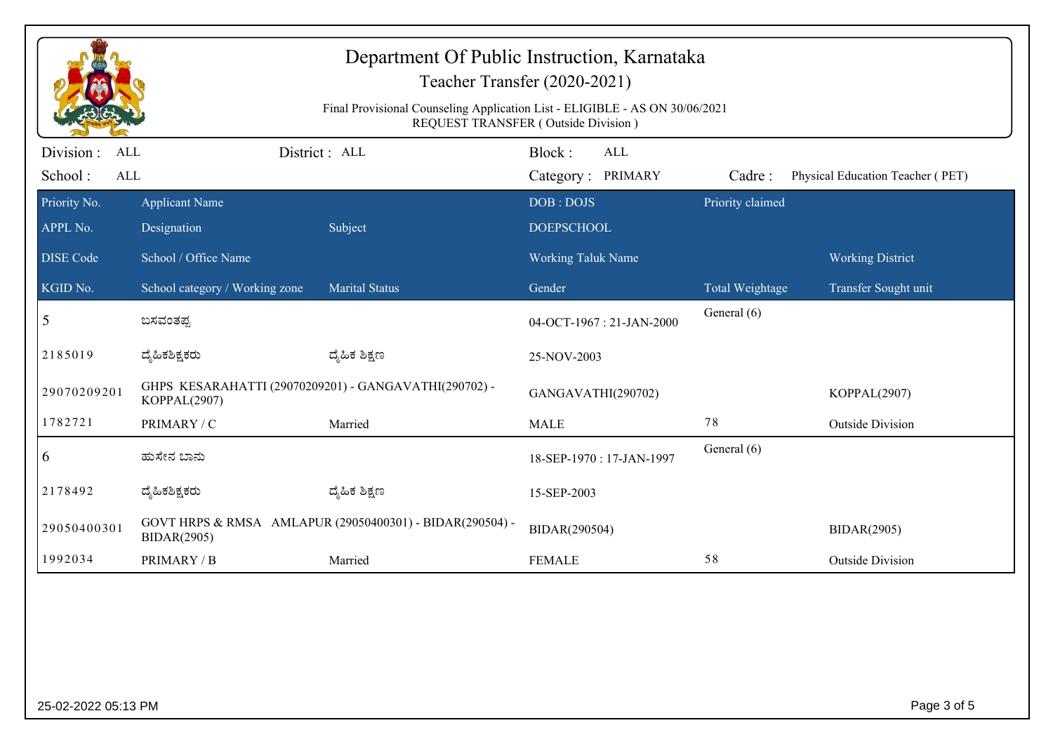| Department Of Public Instruction, Karnataka<br>Teacher Transfer (2020-2021)<br>Final Provisional Counseling Application List - ELIGIBLE - AS ON 30/06/2021<br>REQUEST TRANSFER (Outside Division) |                                                                       |                                                          |                                           |                        |                                  |  |
|---------------------------------------------------------------------------------------------------------------------------------------------------------------------------------------------------|-----------------------------------------------------------------------|----------------------------------------------------------|-------------------------------------------|------------------------|----------------------------------|--|
| Division :<br><b>ALL</b><br>School:<br><b>ALL</b>                                                                                                                                                 |                                                                       | District: ALL                                            | Block:<br><b>ALL</b><br>Category: PRIMARY | Cadre:                 | Physical Education Teacher (PET) |  |
| Priority No.<br>APPL No.                                                                                                                                                                          | <b>Applicant Name</b><br>Designation                                  | Subject                                                  | DOB: DOJS<br><b>DOEPSCHOOL</b>            | Priority claimed       |                                  |  |
| <b>DISE Code</b>                                                                                                                                                                                  | School / Office Name                                                  |                                                          | Working Taluk Name                        |                        | <b>Working District</b>          |  |
| KGID No.                                                                                                                                                                                          | School category / Working zone                                        | <b>Marital Status</b>                                    | Gender                                    | <b>Total Weightage</b> | Transfer Sought unit             |  |
| 5                                                                                                                                                                                                 | ಬಸವಂತಪ್ಪ                                                              |                                                          | 04-OCT-1967: 21-JAN-2000                  | General (6)            |                                  |  |
| 2185019                                                                                                                                                                                           | ದೈಹಿಕಶಿಕ್ಷಕರು                                                         | ದ್ಮೆಹಿಕ ಶಿಕ್ಷಣ                                           | 25-NOV-2003                               |                        |                                  |  |
| 29070209201                                                                                                                                                                                       | GHPS KESARAHATTI (29070209201) - GANGAVATHI(290702) -<br>KOPPAL(2907) |                                                          | GANGAVATHI(290702)                        |                        | KOPPAL(2907)                     |  |
| 1782721                                                                                                                                                                                           | PRIMARY / C                                                           | Married                                                  | <b>MALE</b>                               | 78                     | <b>Outside Division</b>          |  |
| $\overline{6}$                                                                                                                                                                                    | ಹುಸೇನ ಬಾನು                                                            |                                                          | 18-SEP-1970: 17-JAN-1997                  | General (6)            |                                  |  |
| 2178492                                                                                                                                                                                           | ದ್ಯೆಹಿಕಶಿಕ್ಷಕರು                                                       | ದ್ಮಹಿಕ ಶಿಕ್ಷಣ                                            | 15-SEP-2003                               |                        |                                  |  |
| 29050400301                                                                                                                                                                                       | <b>BIDAR(2905)</b>                                                    | GOVT HRPS & RMSA AMLAPUR (29050400301) - BIDAR(290504) - | BIDAR(290504)                             |                        | <b>BIDAR(2905)</b>               |  |
| 1992034                                                                                                                                                                                           | PRIMARY / B                                                           | Married                                                  | <b>FEMALE</b>                             | 58                     | <b>Outside Division</b>          |  |
|                                                                                                                                                                                                   |                                                                       |                                                          |                                           |                        |                                  |  |
| 25-02-2022 05:13 PM                                                                                                                                                                               |                                                                       |                                                          |                                           |                        | Page 3 of 5                      |  |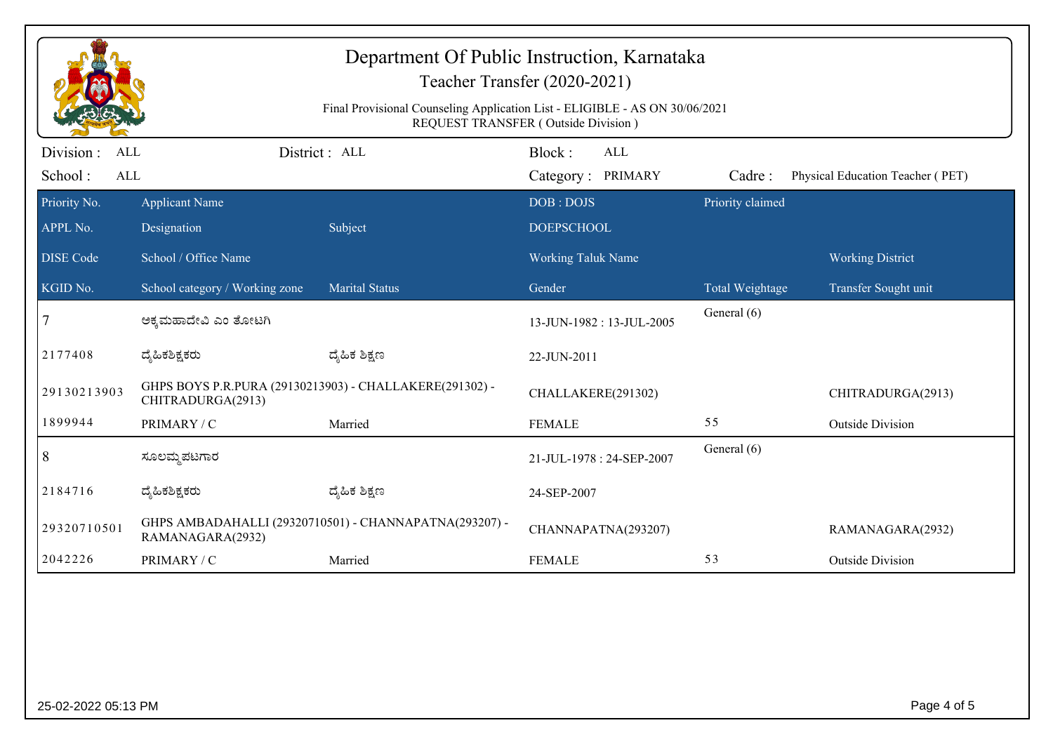| Department Of Public Instruction, Karnataka<br>Teacher Transfer (2020-2021)<br>Final Provisional Counseling Application List - ELIGIBLE - AS ON 30/06/2021<br>REQUEST TRANSFER (Outside Division) |                                                                              |                                                        |                                           |                  |                                  |  |
|---------------------------------------------------------------------------------------------------------------------------------------------------------------------------------------------------|------------------------------------------------------------------------------|--------------------------------------------------------|-------------------------------------------|------------------|----------------------------------|--|
| Division :<br>ALL<br>School:<br><b>ALL</b>                                                                                                                                                        |                                                                              | District: ALL                                          | Block:<br><b>ALL</b><br>Category: PRIMARY | Cadre:           | Physical Education Teacher (PET) |  |
| Priority No.<br>APPL No.                                                                                                                                                                          | <b>Applicant Name</b><br>Designation                                         | Subject                                                | DOB: DOJS<br><b>DOEPSCHOOL</b>            | Priority claimed |                                  |  |
| <b>DISE</b> Code                                                                                                                                                                                  | School / Office Name                                                         |                                                        | <b>Working Taluk Name</b>                 |                  | <b>Working District</b>          |  |
| KGID No.                                                                                                                                                                                          | School category / Working zone                                               | <b>Marital Status</b>                                  | Gender                                    | Total Weightage  | Transfer Sought unit             |  |
| 7                                                                                                                                                                                                 | ಅಕ್ಕಮಹಾದೇವಿ ಎಂ ತೋಟಗಿ                                                         |                                                        | 13-JUN-1982: 13-JUL-2005                  | General (6)      |                                  |  |
| 2177408                                                                                                                                                                                           | ದ್ಯಹಿಕಶಿಕ್ಷಕರು                                                               | ದ್ಯೆಹಿಕ ಶಿಕ್ಷಣ                                         | 22-JUN-2011                               |                  |                                  |  |
| 29130213903                                                                                                                                                                                       | GHPS BOYS P.R.PURA (29130213903) - CHALLAKERE(291302) -<br>CHITRADURGA(2913) |                                                        | CHALLAKERE(291302)                        |                  | CHITRADURGA(2913)                |  |
| 1899944                                                                                                                                                                                           | PRIMARY / C                                                                  | Married                                                | <b>FEMALE</b>                             | 55               | <b>Outside Division</b>          |  |
| 8                                                                                                                                                                                                 | ಸೂಲಮ್ಮ ಪಟಗಾರ                                                                 |                                                        | 21-JUL-1978: 24-SEP-2007                  | General (6)      |                                  |  |
| 2184716                                                                                                                                                                                           | ದ್ಯಹಿಕಶಿಕ್ಷಕರು                                                               | ದ್ಯೆಹಿಕ ಶಿಕ್ಷಣ                                         | 24-SEP-2007                               |                  |                                  |  |
| 29320710501                                                                                                                                                                                       | RAMANAGARA(2932)                                                             | GHPS AMBADAHALLI (29320710501) - CHANNAPATNA(293207) - | CHANNAPATNA(293207)                       |                  | RAMANAGARA(2932)                 |  |
| 2042226                                                                                                                                                                                           | PRIMARY / C                                                                  | Married                                                | <b>FEMALE</b>                             | 53               | <b>Outside Division</b>          |  |
|                                                                                                                                                                                                   |                                                                              |                                                        |                                           |                  |                                  |  |
| 25-02-2022 05:13 PM                                                                                                                                                                               |                                                                              |                                                        |                                           |                  | Page 4 of 5                      |  |